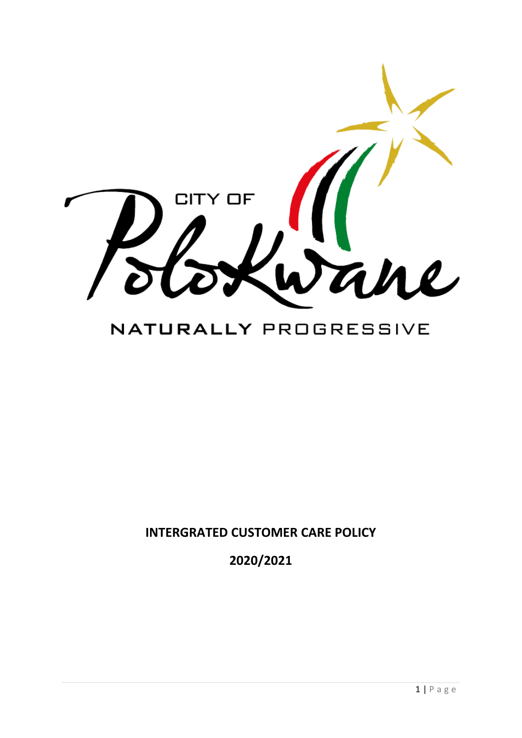

# NATURALLY PROGRESSIVE

**INTERGRATED CUSTOMER CARE POLICY**

**2020/2021**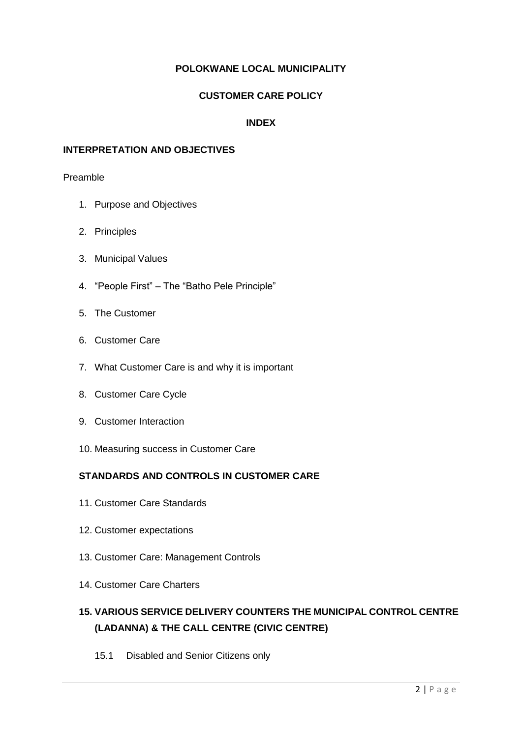#### **POLOKWANE LOCAL MUNICIPALITY**

#### **CUSTOMER CARE POLICY**

#### **INDEX**

#### **INTERPRETATION AND OBJECTIVES**

#### Preamble

- 1. Purpose and Objectives
- 2. Principles
- 3. Municipal Values
- 4. "People First" The "Batho Pele Principle"
- 5. The Customer
- 6. Customer Care
- 7. What Customer Care is and why it is important
- 8. Customer Care Cycle
- 9. Customer Interaction
- 10. Measuring success in Customer Care

#### **STANDARDS AND CONTROLS IN CUSTOMER CARE**

- 11. Customer Care Standards
- 12. Customer expectations
- 13. Customer Care: Management Controls
- 14. Customer Care Charters

# **15. VARIOUS SERVICE DELIVERY COUNTERS THE MUNICIPAL CONTROL CENTRE (LADANNA) & THE CALL CENTRE (CIVIC CENTRE)**

15.1 Disabled and Senior Citizens only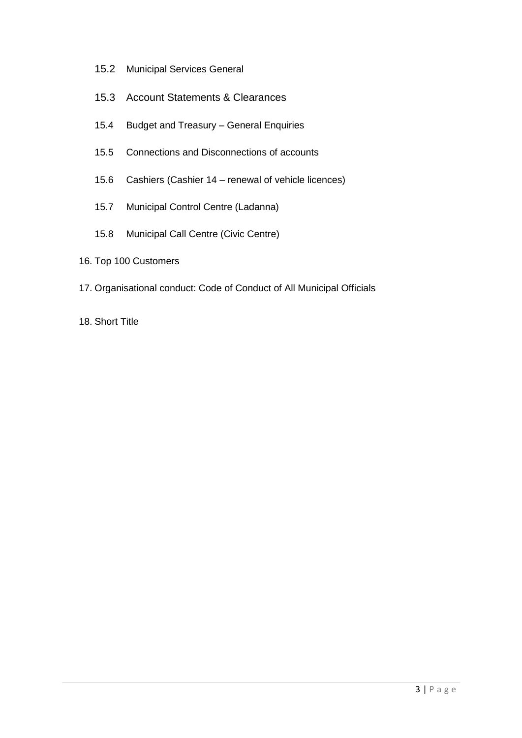- 15.2 Municipal Services General
- 15.3 Account Statements & Clearances
- 15.4 Budget and Treasury General Enquiries
- 15.5 Connections and Disconnections of accounts
- 15.6 Cashiers (Cashier 14 renewal of vehicle licences)
- 15.7 Municipal Control Centre (Ladanna)
- 15.8 Municipal Call Centre (Civic Centre)
- 16. Top 100 Customers
- 17. Organisational conduct: Code of Conduct of All Municipal Officials
- 18. Short Title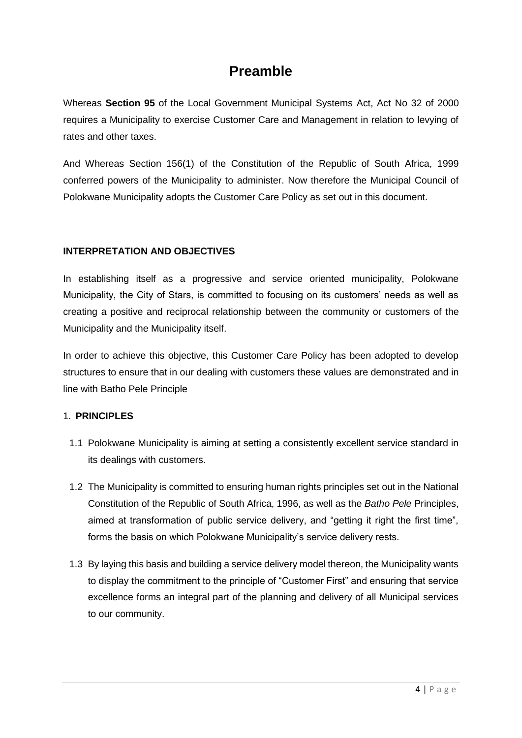# **Preamble**

Whereas **Section 95** of the Local Government Municipal Systems Act, Act No 32 of 2000 requires a Municipality to exercise Customer Care and Management in relation to levying of rates and other taxes.

And Whereas Section 156(1) of the Constitution of the Republic of South Africa, 1999 conferred powers of the Municipality to administer. Now therefore the Municipal Council of Polokwane Municipality adopts the Customer Care Policy as set out in this document.

#### **INTERPRETATION AND OBJECTIVES**

In establishing itself as a progressive and service oriented municipality, Polokwane Municipality, the City of Stars, is committed to focusing on its customers' needs as well as creating a positive and reciprocal relationship between the community or customers of the Municipality and the Municipality itself.

In order to achieve this objective, this Customer Care Policy has been adopted to develop structures to ensure that in our dealing with customers these values are demonstrated and in line with Batho Pele Principle

#### 1. **PRINCIPLES**

- 1.1 Polokwane Municipality is aiming at setting a consistently excellent service standard in its dealings with customers.
- 1.2 The Municipality is committed to ensuring human rights principles set out in the National Constitution of the Republic of South Africa, 1996, as well as the *Batho Pele* Principles, aimed at transformation of public service delivery, and "getting it right the first time", forms the basis on which Polokwane Municipality's service delivery rests.
- 1.3 By laying this basis and building a service delivery model thereon, the Municipality wants to display the commitment to the principle of "Customer First" and ensuring that service excellence forms an integral part of the planning and delivery of all Municipal services to our community.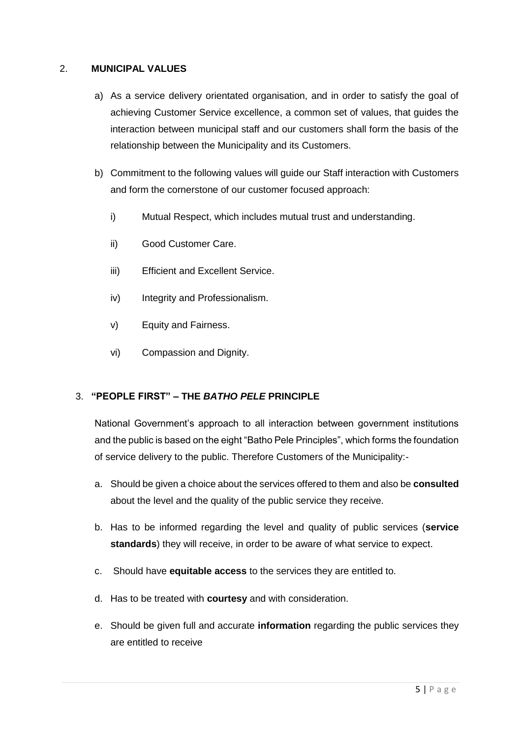#### 2. **MUNICIPAL VALUES**

- a) As a service delivery orientated organisation, and in order to satisfy the goal of achieving Customer Service excellence, a common set of values, that guides the interaction between municipal staff and our customers shall form the basis of the relationship between the Municipality and its Customers.
- b) Commitment to the following values will guide our Staff interaction with Customers and form the cornerstone of our customer focused approach:
	- i) Mutual Respect, which includes mutual trust and understanding.
	- ii) Good Customer Care.
	- iii) Efficient and Excellent Service.
	- iv) Integrity and Professionalism.
	- v) Equity and Fairness.
	- vi) Compassion and Dignity.

#### 3. **"PEOPLE FIRST" – THE** *BATHO PELE* **PRINCIPLE**

National Government's approach to all interaction between government institutions and the public is based on the eight "Batho Pele Principles", which forms the foundation of service delivery to the public. Therefore Customers of the Municipality:-

- a. Should be given a choice about the services offered to them and also be **consulted**  about the level and the quality of the public service they receive.
- b. Has to be informed regarding the level and quality of public services (**service standards**) they will receive, in order to be aware of what service to expect.
- c. Should have **equitable access** to the services they are entitled to.
- d. Has to be treated with **courtesy** and with consideration.
- e. Should be given full and accurate **information** regarding the public services they are entitled to receive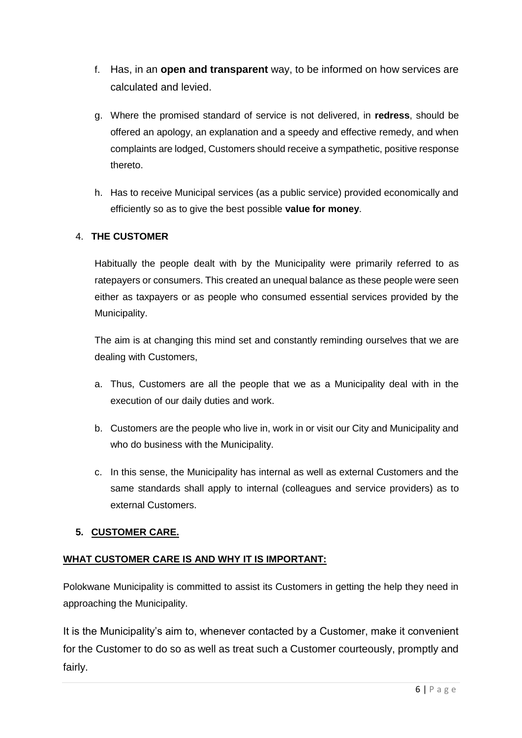- f. Has, in an **open and transparent** way, to be informed on how services are calculated and levied.
- g. Where the promised standard of service is not delivered, in **redress**, should be offered an apology, an explanation and a speedy and effective remedy, and when complaints are lodged, Customers should receive a sympathetic, positive response thereto.
- h. Has to receive Municipal services (as a public service) provided economically and efficiently so as to give the best possible **value for money**.

# 4. **THE CUSTOMER**

Habitually the people dealt with by the Municipality were primarily referred to as ratepayers or consumers. This created an unequal balance as these people were seen either as taxpayers or as people who consumed essential services provided by the Municipality.

The aim is at changing this mind set and constantly reminding ourselves that we are dealing with Customers,

- a. Thus, Customers are all the people that we as a Municipality deal with in the execution of our daily duties and work.
- b. Customers are the people who live in, work in or visit our City and Municipality and who do business with the Municipality.
- c. In this sense, the Municipality has internal as well as external Customers and the same standards shall apply to internal (colleagues and service providers) as to external Customers.

# **5. CUSTOMER CARE.**

# **WHAT CUSTOMER CARE IS AND WHY IT IS IMPORTANT:**

Polokwane Municipality is committed to assist its Customers in getting the help they need in approaching the Municipality.

It is the Municipality's aim to, whenever contacted by a Customer, make it convenient for the Customer to do so as well as treat such a Customer courteously, promptly and fairly.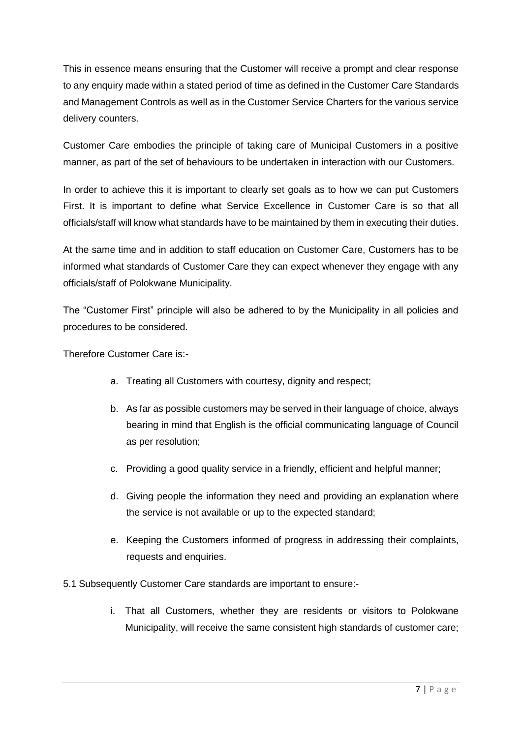This in essence means ensuring that the Customer will receive a prompt and clear response to any enquiry made within a stated period of time as defined in the Customer Care Standards and Management Controls as well as in the Customer Service Charters for the various service delivery counters.

Customer Care embodies the principle of taking care of Municipal Customers in a positive manner, as part of the set of behaviours to be undertaken in interaction with our Customers.

In order to achieve this it is important to clearly set goals as to how we can put Customers First. It is important to define what Service Excellence in Customer Care is so that all officials/staff will know what standards have to be maintained by them in executing their duties.

At the same time and in addition to staff education on Customer Care, Customers has to be informed what standards of Customer Care they can expect whenever they engage with any officials/staff of Polokwane Municipality.

The "Customer First" principle will also be adhered to by the Municipality in all policies and procedures to be considered.

Therefore Customer Care is:-

- a. Treating all Customers with courtesy, dignity and respect;
- b. As far as possible customers may be served in their language of choice, always bearing in mind that English is the official communicating language of Council as per resolution;
- c. Providing a good quality service in a friendly, efficient and helpful manner;
- d. Giving people the information they need and providing an explanation where the service is not available or up to the expected standard;
- e. Keeping the Customers informed of progress in addressing their complaints, requests and enquiries.
- 5.1 Subsequently Customer Care standards are important to ensure:
	- i. That all Customers, whether they are residents or visitors to Polokwane Municipality, will receive the same consistent high standards of customer care;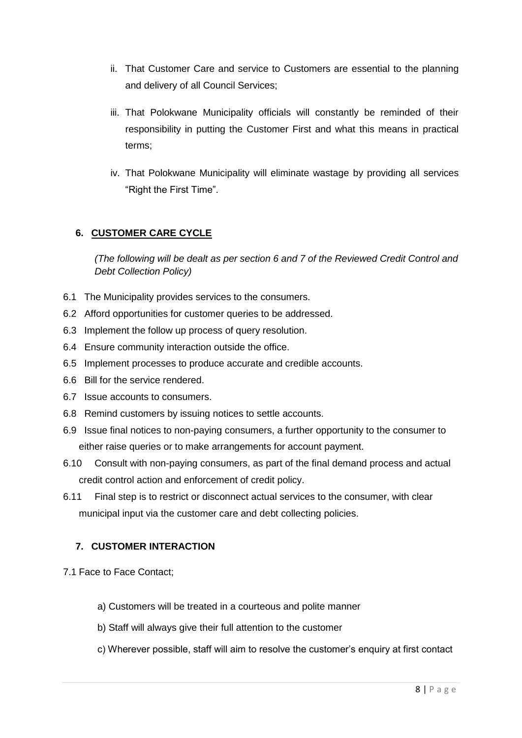- ii. That Customer Care and service to Customers are essential to the planning and delivery of all Council Services;
- iii. That Polokwane Municipality officials will constantly be reminded of their responsibility in putting the Customer First and what this means in practical terms;
- iv. That Polokwane Municipality will eliminate wastage by providing all services "Right the First Time".

### **6. CUSTOMER CARE CYCLE**

*(The following will be dealt as per section 6 and 7 of the Reviewed Credit Control and Debt Collection Policy)*

- 6.1 The Municipality provides services to the consumers.
- 6.2 Afford opportunities for customer queries to be addressed.
- 6.3 Implement the follow up process of query resolution.
- 6.4 Ensure community interaction outside the office.
- 6.5 Implement processes to produce accurate and credible accounts.
- 6.6 Bill for the service rendered.
- 6.7 Issue accounts to consumers.
- 6.8 Remind customers by issuing notices to settle accounts.
- 6.9 Issue final notices to non-paying consumers, a further opportunity to the consumer to either raise queries or to make arrangements for account payment.
- 6.10 Consult with non-paying consumers, as part of the final demand process and actual credit control action and enforcement of credit policy.
- 6.11 Final step is to restrict or disconnect actual services to the consumer, with clear municipal input via the customer care and debt collecting policies.

#### **7. CUSTOMER INTERACTION**

- 7.1 Face to Face Contact;
	- a) Customers will be treated in a courteous and polite manner
	- b) Staff will always give their full attention to the customer
	- c) Wherever possible, staff will aim to resolve the customer's enquiry at first contact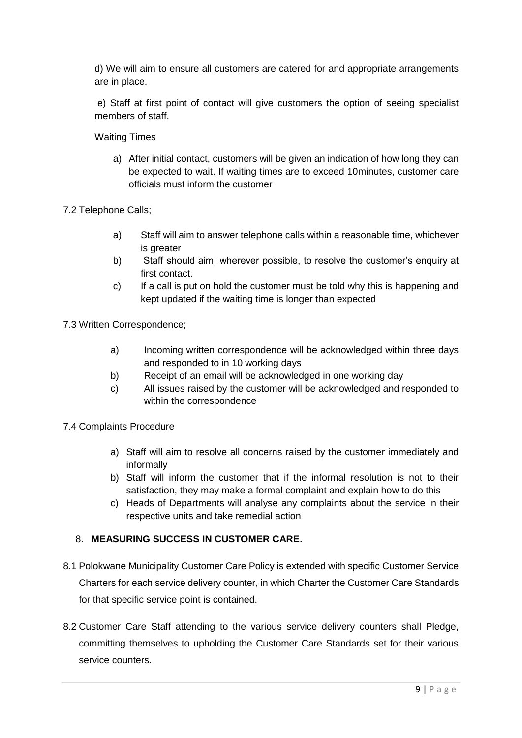d) We will aim to ensure all customers are catered for and appropriate arrangements are in place.

e) Staff at first point of contact will give customers the option of seeing specialist members of staff.

Waiting Times

a) After initial contact, customers will be given an indication of how long they can be expected to wait. If waiting times are to exceed 10minutes, customer care officials must inform the customer

7.2 Telephone Calls;

- a) Staff will aim to answer telephone calls within a reasonable time, whichever is greater
- b) Staff should aim, wherever possible, to resolve the customer's enquiry at first contact.
- c) If a call is put on hold the customer must be told why this is happening and kept updated if the waiting time is longer than expected

7.3 Written Correspondence;

- a) Incoming written correspondence will be acknowledged within three days and responded to in 10 working days
- b) Receipt of an email will be acknowledged in one working day
- c) All issues raised by the customer will be acknowledged and responded to within the correspondence

7.4 Complaints Procedure

- a) Staff will aim to resolve all concerns raised by the customer immediately and informally
- b) Staff will inform the customer that if the informal resolution is not to their satisfaction, they may make a formal complaint and explain how to do this
- c) Heads of Departments will analyse any complaints about the service in their respective units and take remedial action

#### 8. **MEASURING SUCCESS IN CUSTOMER CARE.**

- 8.1 Polokwane Municipality Customer Care Policy is extended with specific Customer Service Charters for each service delivery counter, in which Charter the Customer Care Standards for that specific service point is contained.
- 8.2 Customer Care Staff attending to the various service delivery counters shall Pledge, committing themselves to upholding the Customer Care Standards set for their various service counters.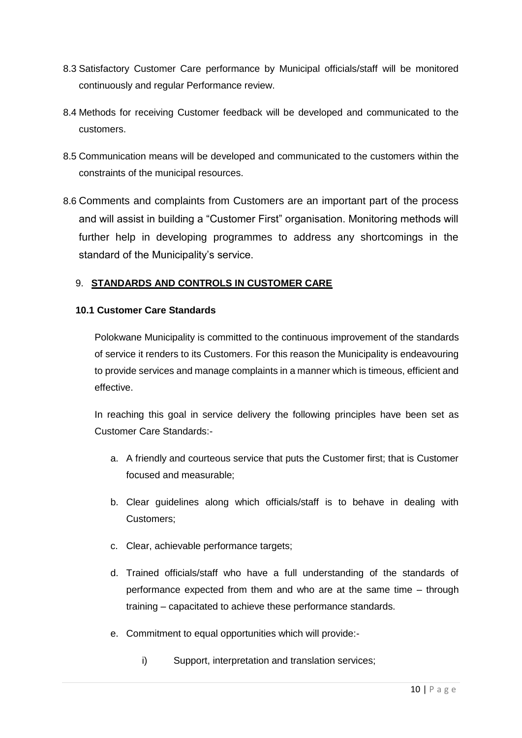- 8.3 Satisfactory Customer Care performance by Municipal officials/staff will be monitored continuously and regular Performance review.
- 8.4 Methods for receiving Customer feedback will be developed and communicated to the customers.
- 8.5 Communication means will be developed and communicated to the customers within the constraints of the municipal resources.
- 8.6 Comments and complaints from Customers are an important part of the process and will assist in building a "Customer First" organisation. Monitoring methods will further help in developing programmes to address any shortcomings in the standard of the Municipality's service.

#### 9. **STANDARDS AND CONTROLS IN CUSTOMER CARE**

#### **10.1 Customer Care Standards**

Polokwane Municipality is committed to the continuous improvement of the standards of service it renders to its Customers. For this reason the Municipality is endeavouring to provide services and manage complaints in a manner which is timeous, efficient and effective.

In reaching this goal in service delivery the following principles have been set as Customer Care Standards:-

- a. A friendly and courteous service that puts the Customer first; that is Customer focused and measurable;
- b. Clear guidelines along which officials/staff is to behave in dealing with Customers;
- c. Clear, achievable performance targets;
- d. Trained officials/staff who have a full understanding of the standards of performance expected from them and who are at the same time – through training – capacitated to achieve these performance standards.
- e. Commitment to equal opportunities which will provide:
	- i) Support, interpretation and translation services;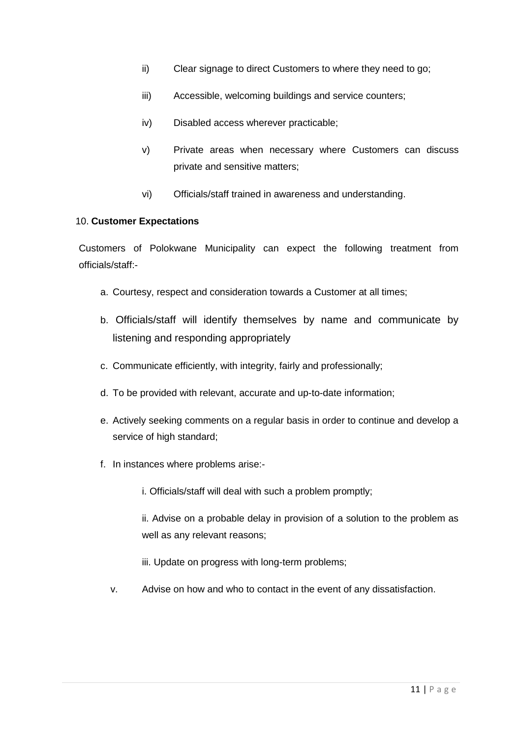- ii) Clear signage to direct Customers to where they need to go;
- iii) Accessible, welcoming buildings and service counters;
- iv) Disabled access wherever practicable;
- v) Private areas when necessary where Customers can discuss private and sensitive matters;
- vi) Officials/staff trained in awareness and understanding.

#### 10. **Customer Expectations**

Customers of Polokwane Municipality can expect the following treatment from officials/staff:-

- a. Courtesy, respect and consideration towards a Customer at all times;
- b. Officials/staff will identify themselves by name and communicate by listening and responding appropriately
- c. Communicate efficiently, with integrity, fairly and professionally;
- d. To be provided with relevant, accurate and up-to-date information;
- e. Actively seeking comments on a regular basis in order to continue and develop a service of high standard;
- f. In instances where problems arise:
	- i. Officials/staff will deal with such a problem promptly;

ii. Advise on a probable delay in provision of a solution to the problem as well as any relevant reasons;

iii. Update on progress with long-term problems;

v. Advise on how and who to contact in the event of any dissatisfaction.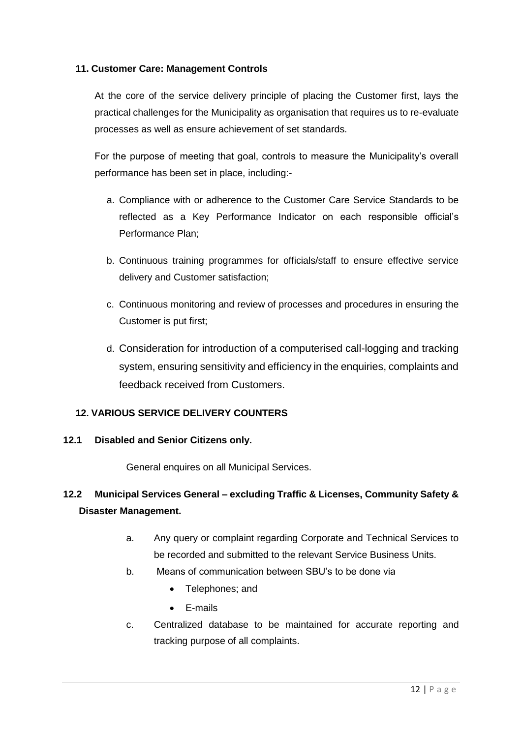#### **11. Customer Care: Management Controls**

At the core of the service delivery principle of placing the Customer first, lays the practical challenges for the Municipality as organisation that requires us to re-evaluate processes as well as ensure achievement of set standards.

For the purpose of meeting that goal, controls to measure the Municipality's overall performance has been set in place, including:-

- a. Compliance with or adherence to the Customer Care Service Standards to be reflected as a Key Performance Indicator on each responsible official's Performance Plan;
- b. Continuous training programmes for officials/staff to ensure effective service delivery and Customer satisfaction;
- c. Continuous monitoring and review of processes and procedures in ensuring the Customer is put first;
- d. Consideration for introduction of a computerised call-logging and tracking system, ensuring sensitivity and efficiency in the enquiries, complaints and feedback received from Customers.

#### **12. VARIOUS SERVICE DELIVERY COUNTERS**

#### **12.1 Disabled and Senior Citizens only.**

General enquires on all Municipal Services.

# **12.2 Municipal Services General – excluding Traffic & Licenses, Community Safety & Disaster Management.**

- a. Any query or complaint regarding Corporate and Technical Services to be recorded and submitted to the relevant Service Business Units.
- b. Means of communication between SBU's to be done via
	- Telephones; and
	- E-mails
- c. Centralized database to be maintained for accurate reporting and tracking purpose of all complaints.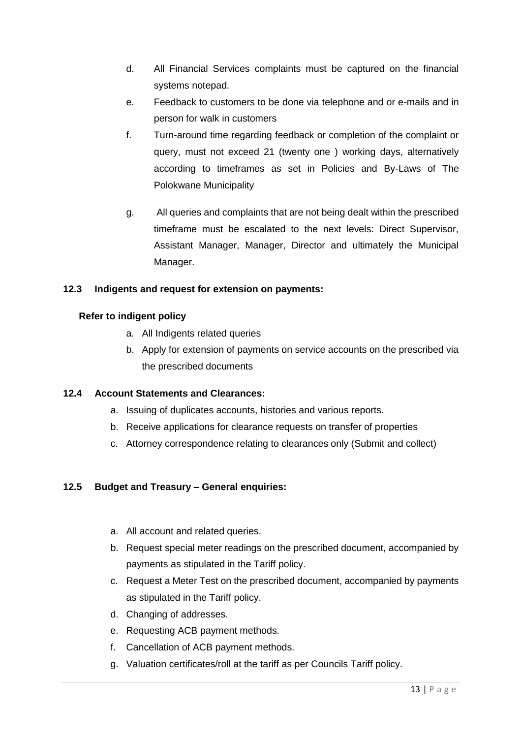- d. All Financial Services complaints must be captured on the financial systems notepad.
- e. Feedback to customers to be done via telephone and or e-mails and in person for walk in customers
- f. Turn-around time regarding feedback or completion of the complaint or query, must not exceed 21 (twenty one ) working days, alternatively according to timeframes as set in Policies and By-Laws of The Polokwane Municipality
- g. All queries and complaints that are not being dealt within the prescribed timeframe must be escalated to the next levels: Direct Supervisor, Assistant Manager, Manager, Director and ultimately the Municipal Manager.

#### **12.3 Indigents and request for extension on payments:**

#### **Refer to indigent policy**

- a. All Indigents related queries
- b. Apply for extension of payments on service accounts on the prescribed via the prescribed documents

#### **12.4 Account Statements and Clearances:**

- a. Issuing of duplicates accounts, histories and various reports.
- b. Receive applications for clearance requests on transfer of properties
- c. Attorney correspondence relating to clearances only (Submit and collect)

#### **12.5 Budget and Treasury – General enquiries:**

- a. All account and related queries.
- b. Request special meter readings on the prescribed document, accompanied by payments as stipulated in the Tariff policy.
- c. Request a Meter Test on the prescribed document, accompanied by payments as stipulated in the Tariff policy.
- d. Changing of addresses.
- e. Requesting ACB payment methods.
- f. Cancellation of ACB payment methods.
- g. Valuation certificates/roll at the tariff as per Councils Tariff policy.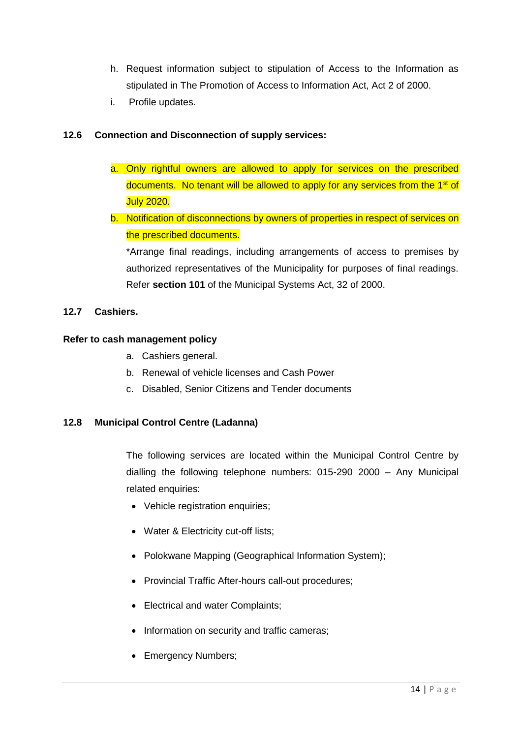- h. Request information subject to stipulation of Access to the Information as stipulated in The Promotion of Access to Information Act, Act 2 of 2000.
- i. Profile updates.

#### **12.6 Connection and Disconnection of supply services:**

- a. Only rightful owners are allowed to apply for services on the prescribed documents. No tenant will be allowed to apply for any services from the  $1<sup>st</sup>$  of July 2020.
- b. Notification of disconnections by owners of properties in respect of services on the prescribed documents.

\*Arrange final readings, including arrangements of access to premises by authorized representatives of the Municipality for purposes of final readings. Refer **section 101** of the Municipal Systems Act, 32 of 2000.

#### **12.7 Cashiers.**

#### **Refer to cash management policy**

- a. Cashiers general.
- b. Renewal of vehicle licenses and Cash Power
- c. Disabled, Senior Citizens and Tender documents

#### **12.8 Municipal Control Centre (Ladanna)**

The following services are located within the Municipal Control Centre by dialling the following telephone numbers: 015-290 2000 – Any Municipal related enquiries:

- Vehicle registration enquiries;
- Water & Electricity cut-off lists;
- Polokwane Mapping (Geographical Information System);
- Provincial Traffic After-hours call-out procedures;
- Electrical and water Complaints;
- Information on security and traffic cameras;
- Emergency Numbers;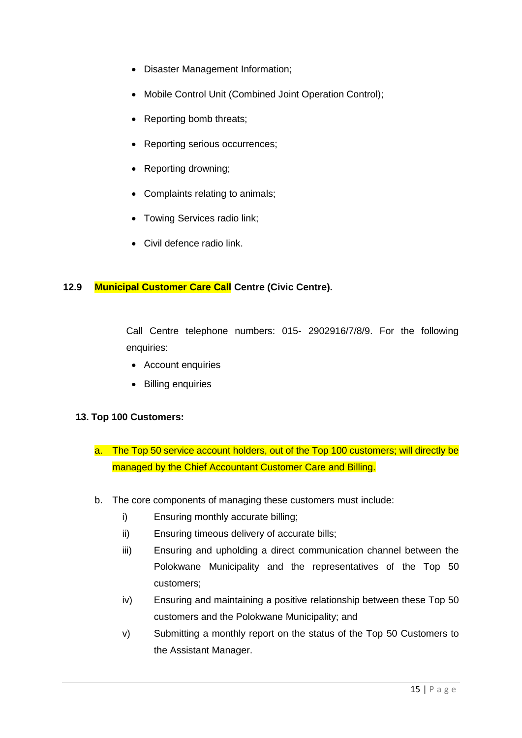- Disaster Management Information;
- Mobile Control Unit (Combined Joint Operation Control);
- Reporting bomb threats;
- Reporting serious occurrences;
- Reporting drowning;
- Complaints relating to animals;
- Towing Services radio link;
- Civil defence radio link.

#### **12.9 Municipal Customer Care Call Centre (Civic Centre).**

Call Centre telephone numbers: 015- 2902916/7/8/9. For the following enquiries:

- Account enquiries
- Billing enquiries

#### **13. Top 100 Customers:**

- a. The Top 50 service account holders, out of the Top 100 customers; will directly be managed by the Chief Accountant Customer Care and Billing.
- b. The core components of managing these customers must include:
	- i) Ensuring monthly accurate billing;
	- ii) Ensuring timeous delivery of accurate bills;
	- iii) Ensuring and upholding a direct communication channel between the Polokwane Municipality and the representatives of the Top 50 customers;
	- iv) Ensuring and maintaining a positive relationship between these Top 50 customers and the Polokwane Municipality; and
	- v) Submitting a monthly report on the status of the Top 50 Customers to the Assistant Manager.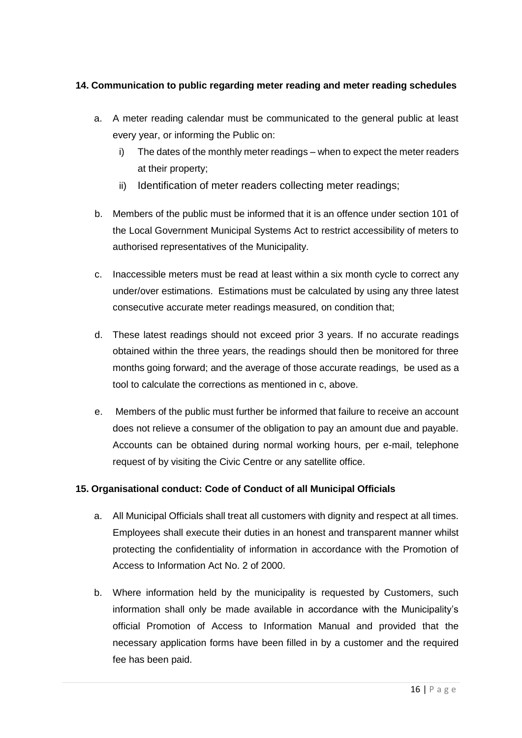### **14. Communication to public regarding meter reading and meter reading schedules**

- a. A meter reading calendar must be communicated to the general public at least every year, or informing the Public on:
	- i) The dates of the monthly meter readings when to expect the meter readers at their property;
	- ii) Identification of meter readers collecting meter readings;
- b. Members of the public must be informed that it is an offence under section 101 of the Local Government Municipal Systems Act to restrict accessibility of meters to authorised representatives of the Municipality.
- c. Inaccessible meters must be read at least within a six month cycle to correct any under/over estimations. Estimations must be calculated by using any three latest consecutive accurate meter readings measured, on condition that;
- d. These latest readings should not exceed prior 3 years. If no accurate readings obtained within the three years, the readings should then be monitored for three months going forward; and the average of those accurate readings, be used as a tool to calculate the corrections as mentioned in c, above.
- e. Members of the public must further be informed that failure to receive an account does not relieve a consumer of the obligation to pay an amount due and payable. Accounts can be obtained during normal working hours, per e-mail, telephone request of by visiting the Civic Centre or any satellite office.

#### **15. Organisational conduct: Code of Conduct of all Municipal Officials**

- a. All Municipal Officials shall treat all customers with dignity and respect at all times. Employees shall execute their duties in an honest and transparent manner whilst protecting the confidentiality of information in accordance with the Promotion of Access to Information Act No. 2 of 2000.
- b. Where information held by the municipality is requested by Customers, such information shall only be made available in accordance with the Municipality's official Promotion of Access to Information Manual and provided that the necessary application forms have been filled in by a customer and the required fee has been paid.